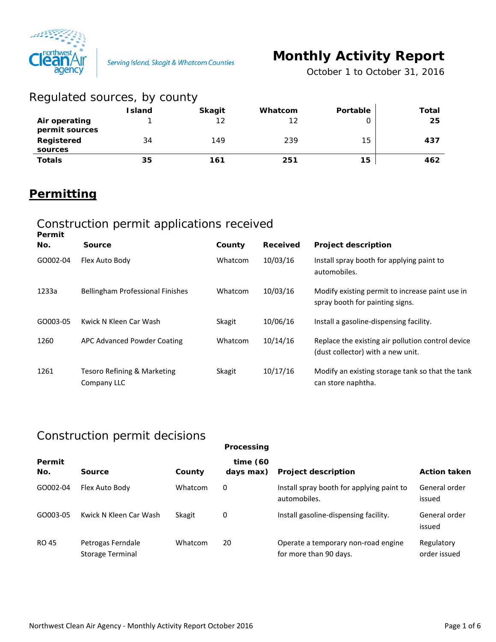

# **Monthly Activity Report**

*October 1 to October 31, 2016*

| Regulated sources, by county    |               |               |         |          |       |
|---------------------------------|---------------|---------------|---------|----------|-------|
|                                 | <b>Island</b> | <b>Skagit</b> | Whatcom | Portable | Total |
| Air operating<br>permit sources |               | 12            | 12      |          | 25    |
| Registered<br>sources           | 34            | 149           | 239     | 15       | 437   |
| <b>Totals</b>                   | 35            | 161           | 251     | 15       | 462   |

## **Permitting**

#### Construction permit applications received

| Permit<br>No. | <b>Source</b>                              | County        | Received | <b>Project description</b>                                                             |
|---------------|--------------------------------------------|---------------|----------|----------------------------------------------------------------------------------------|
| GO002-04      | Flex Auto Body                             | Whatcom       | 10/03/16 | Install spray booth for applying paint to<br>automobiles.                              |
| 1233a         | <b>Bellingham Professional Finishes</b>    | Whatcom       | 10/03/16 | Modify existing permit to increase paint use in<br>spray booth for painting signs.     |
| GO003-05      | Kwick N Kleen Car Wash                     | <b>Skagit</b> | 10/06/16 | Install a gasoline-dispensing facility.                                                |
| 1260          | APC Advanced Powder Coating                | Whatcom       | 10/14/16 | Replace the existing air pollution control device<br>(dust collector) with a new unit. |
| 1261          | Tesoro Refining & Marketing<br>Company LLC | <b>Skagit</b> | 10/17/16 | Modify an existing storage tank so that the tank<br>can store naphtha.                 |

### Construction permit decisions

|               |                                       |         | Processing               |                                                               |                            |
|---------------|---------------------------------------|---------|--------------------------|---------------------------------------------------------------|----------------------------|
| Permit<br>No. | Source                                | County  | time $(60)$<br>days max) | <b>Project description</b>                                    | <b>Action taken</b>        |
| GO002-04      | Flex Auto Body                        | Whatcom | 0                        | Install spray booth for applying paint to<br>automobiles.     | General order<br>issued    |
| GO003-05      | Kwick N Kleen Car Wash                | Skagit  | 0                        | Install gasoline-dispensing facility.                         | General order<br>issued    |
| RO 45         | Petrogas Ferndale<br>Storage Terminal | Whatcom | 20                       | Operate a temporary non-road engine<br>for more than 90 days. | Regulatory<br>order issued |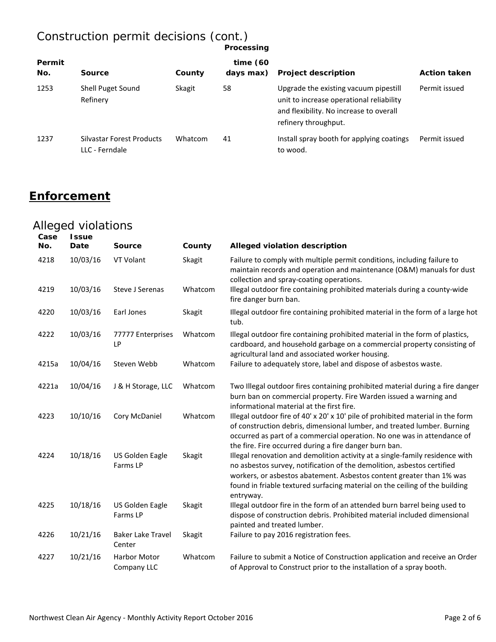#### Construction permit decisions (cont.) **Processing**

| Permit<br>No. | Source                                      | County  | time $(60)$<br>days max) | <b>Project description</b>                                                                                                                           | <b>Action taken</b> |
|---------------|---------------------------------------------|---------|--------------------------|------------------------------------------------------------------------------------------------------------------------------------------------------|---------------------|
| 1253          | Shell Puget Sound<br>Refinery               | Skagit  | 58                       | Upgrade the existing vacuum pipestill<br>unit to increase operational reliability<br>and flexibility. No increase to overall<br>refinery throughput. | Permit issued       |
| 1237          | Silvastar Forest Products<br>LLC - Ferndale | Whatcom | 41                       | Install spray booth for applying coatings<br>to wood.                                                                                                | Permit issued       |

## **Enforcement**

## Alleged violations

| Case<br>No. | <b>Issue</b><br>Date | <b>Source</b>                      | County  | Alleged violation description                                                                                                                                                                                                                                                                                              |
|-------------|----------------------|------------------------------------|---------|----------------------------------------------------------------------------------------------------------------------------------------------------------------------------------------------------------------------------------------------------------------------------------------------------------------------------|
| 4218        | 10/03/16             | VT Volant                          | Skagit  | Failure to comply with multiple permit conditions, including failure to<br>maintain records and operation and maintenance (O&M) manuals for dust<br>collection and spray-coating operations.                                                                                                                               |
| 4219        | 10/03/16             | <b>Steve J Serenas</b>             | Whatcom | Illegal outdoor fire containing prohibited materials during a county-wide<br>fire danger burn ban.                                                                                                                                                                                                                         |
| 4220        | 10/03/16             | Earl Jones                         | Skagit  | Illegal outdoor fire containing prohibited material in the form of a large hot<br>tub.                                                                                                                                                                                                                                     |
| 4222        | 10/03/16             | 77777 Enterprises<br>LP            | Whatcom | Illegal outdoor fire containing prohibited material in the form of plastics,<br>cardboard, and household garbage on a commercial property consisting of<br>agricultural land and associated worker housing.                                                                                                                |
| 4215a       | 10/04/16             | Steven Webb                        | Whatcom | Failure to adequately store, label and dispose of asbestos waste.                                                                                                                                                                                                                                                          |
| 4221a       | 10/04/16             | J & H Storage, LLC                 | Whatcom | Two Illegal outdoor fires containing prohibited material during a fire danger<br>burn ban on commercial property. Fire Warden issued a warning and<br>informational material at the first fire.                                                                                                                            |
| 4223        | 10/10/16             | Cory McDaniel                      | Whatcom | Illegal outdoor fire of 40' x 20' x 10' pile of prohibited material in the form<br>of construction debris, dimensional lumber, and treated lumber. Burning<br>occurred as part of a commercial operation. No one was in attendance of<br>the fire. Fire occurred during a fire danger burn ban.                            |
| 4224        | 10/18/16             | US Golden Eagle<br>Farms LP        | Skagit  | Illegal renovation and demolition activity at a single-family residence with<br>no asbestos survey, notification of the demolition, asbestos certified<br>workers, or asbestos abatement. Asbestos content greater than 1% was<br>found in friable textured surfacing material on the ceiling of the building<br>entryway. |
| 4225        | 10/18/16             | US Golden Eagle<br>Farms LP        | Skagit  | Illegal outdoor fire in the form of an attended burn barrel being used to<br>dispose of construction debris. Prohibited material included dimensional<br>painted and treated lumber.                                                                                                                                       |
| 4226        | 10/21/16             | <b>Baker Lake Travel</b><br>Center | Skagit  | Failure to pay 2016 registration fees.                                                                                                                                                                                                                                                                                     |
| 4227        | 10/21/16             | <b>Harbor Motor</b><br>Company LLC | Whatcom | Failure to submit a Notice of Construction application and receive an Order<br>of Approval to Construct prior to the installation of a spray booth.                                                                                                                                                                        |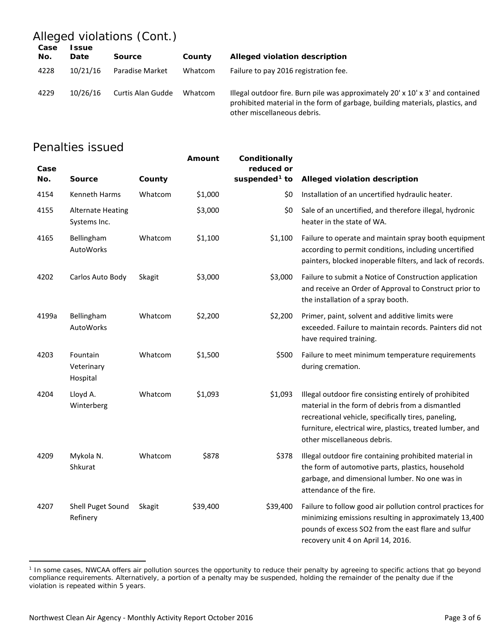## Alleged violations (Cont.)

| Case<br>No. | <b>ssue</b><br><b>Date</b> | Source            | County  | Alleged violation description                                                                                                                                                                              |
|-------------|----------------------------|-------------------|---------|------------------------------------------------------------------------------------------------------------------------------------------------------------------------------------------------------------|
| 4228        | 10/21/16                   | Paradise Market   | Whatcom | Failure to pay 2016 registration fee.                                                                                                                                                                      |
| 4229        | 10/26/16                   | Curtis Alan Gudde | Whatcom | Illegal outdoor fire. Burn pile was approximately $20' \times 10' \times 3'$ and contained<br>prohibited material in the form of garbage, building materials, plastics, and<br>other miscellaneous debris. |

### Penalties issued

| Case<br>No. | <b>Source</b>                            | County        | Amount   | Conditionally<br>reduced or<br>suspended <sup>1</sup> to | Alleged violation description                                                                                                                                                                                                                                 |
|-------------|------------------------------------------|---------------|----------|----------------------------------------------------------|---------------------------------------------------------------------------------------------------------------------------------------------------------------------------------------------------------------------------------------------------------------|
| 4154        | Kenneth Harms                            | Whatcom       | \$1,000  | \$0                                                      | Installation of an uncertified hydraulic heater.                                                                                                                                                                                                              |
| 4155        | <b>Alternate Heating</b><br>Systems Inc. |               | \$3,000  | \$0                                                      | Sale of an uncertified, and therefore illegal, hydronic<br>heater in the state of WA.                                                                                                                                                                         |
| 4165        | Bellingham<br>AutoWorks                  | Whatcom       | \$1,100  | \$1,100                                                  | Failure to operate and maintain spray booth equipment<br>according to permit conditions, including uncertified<br>painters, blocked inoperable filters, and lack of records.                                                                                  |
| 4202        | Carlos Auto Body                         | Skagit        | \$3,000  | \$3,000                                                  | Failure to submit a Notice of Construction application<br>and receive an Order of Approval to Construct prior to<br>the installation of a spray booth.                                                                                                        |
| 4199a       | Bellingham<br>AutoWorks                  | Whatcom       | \$2,200  | \$2,200                                                  | Primer, paint, solvent and additive limits were<br>exceeded. Failure to maintain records. Painters did not<br>have required training.                                                                                                                         |
| 4203        | Fountain<br>Veterinary<br>Hospital       | Whatcom       | \$1,500  | \$500                                                    | Failure to meet minimum temperature requirements<br>during cremation.                                                                                                                                                                                         |
| 4204        | Lloyd A.<br>Winterberg                   | Whatcom       | \$1,093  | \$1,093                                                  | Illegal outdoor fire consisting entirely of prohibited<br>material in the form of debris from a dismantled<br>recreational vehicle, specifically tires, paneling,<br>furniture, electrical wire, plastics, treated lumber, and<br>other miscellaneous debris. |
| 4209        | Mykola N.<br>Shkurat                     | Whatcom       | \$878    | \$378                                                    | Illegal outdoor fire containing prohibited material in<br>the form of automotive parts, plastics, household<br>garbage, and dimensional lumber. No one was in<br>attendance of the fire.                                                                      |
| 4207        | Shell Puget Sound<br>Refinery            | <b>Skagit</b> | \$39,400 | \$39,400                                                 | Failure to follow good air pollution control practices for<br>minimizing emissions resulting in approximately 13,400<br>pounds of excess SO2 from the east flare and sulfur<br>recovery unit 4 on April 14, 2016.                                             |

<span id="page-2-0"></span><sup>&</sup>lt;sup>1</sup> In some cases, NWCAA offers air pollution sources the opportunity to reduce their penalty by agreeing to specific actions that go beyond compliance requirements. Alternatively, a portion of a penalty may be suspended, holding the remainder of the penalty due if the violation is repeated within 5 years.

 $\overline{a}$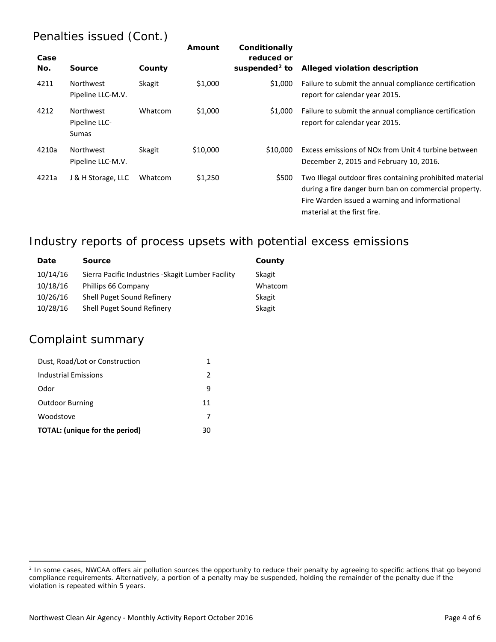## Penalties issued (Cont.)

| Case<br>No. | <b>Source</b>                              | County        | Amount   | Conditionally<br>reduced or<br>suspended $2$ to | Alleged violation description                                                                                                                                                                      |
|-------------|--------------------------------------------|---------------|----------|-------------------------------------------------|----------------------------------------------------------------------------------------------------------------------------------------------------------------------------------------------------|
| 4211        | <b>Northwest</b><br>Pipeline LLC-M.V.      | Skagit        | \$1,000  | \$1,000                                         | Failure to submit the annual compliance certification<br>report for calendar year 2015.                                                                                                            |
| 4212        | <b>Northwest</b><br>Pipeline LLC-<br>Sumas | Whatcom       | \$1,000  | \$1,000                                         | Failure to submit the annual compliance certification<br>report for calendar year 2015.                                                                                                            |
| 4210a       | Northwest<br>Pipeline LLC-M.V.             | <b>Skagit</b> | \$10,000 | \$10,000                                        | Excess emissions of NO <sub>x</sub> from Unit 4 turbine between<br>December 2, 2015 and February 10, 2016.                                                                                         |
| 4221a       | J & H Storage, LLC                         | Whatcom       | \$1,250  | \$500                                           | Two Illegal outdoor fires containing prohibited material<br>during a fire danger burn ban on commercial property.<br>Fire Warden issued a warning and informational<br>material at the first fire. |

## Industry reports of process upsets with potential excess emissions

| Date     | <b>Source</b>                                      | County  |
|----------|----------------------------------------------------|---------|
| 10/14/16 | Sierra Pacific Industries - Skagit Lumber Facility | Skagit  |
| 10/18/16 | Phillips 66 Company                                | Whatcom |
| 10/26/16 | Shell Puget Sound Refinery                         | Skagit  |
| 10/28/16 | Shell Puget Sound Refinery                         | Skagit  |

#### Complaint summary

 $\overline{a}$ 

| Dust, Road/Lot or Construction        |               |
|---------------------------------------|---------------|
| Industrial Emissions                  | $\mathcal{P}$ |
| Odor                                  | 9             |
| <b>Outdoor Burning</b>                | 11            |
| Woodstove                             |               |
| <b>TOTAL:</b> (unique for the period) | 30            |

<span id="page-3-0"></span><sup>&</sup>lt;sup>2</sup> In some cases, NWCAA offers air pollution sources the opportunity to reduce their penalty by agreeing to specific actions that go beyond compliance requirements. Alternatively, a portion of a penalty may be suspended, holding the remainder of the penalty due if the violation is repeated within 5 years.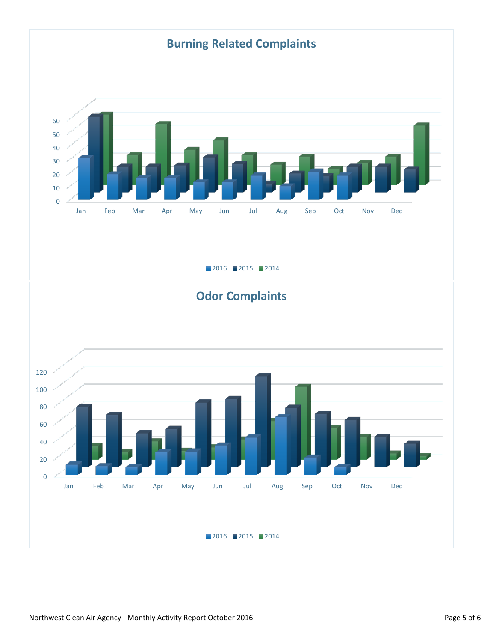